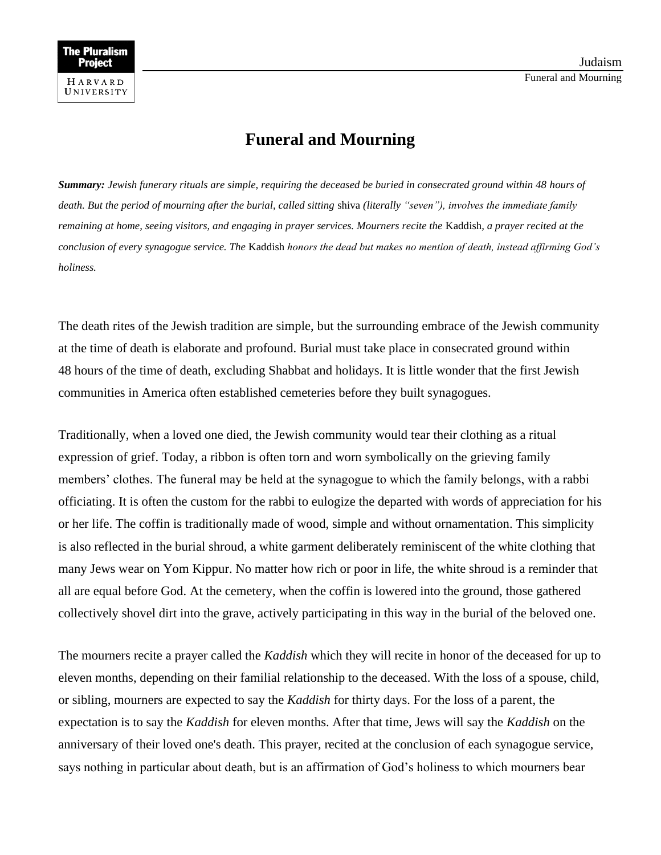## **Funeral and Mourning**

*Summary: Jewish funerary rituals are simple, requiring the deceased be buried in consecrated ground within 48 hours of death. But the period of mourning after the burial, called sitting* shiva *(literally "seven"), involves the immediate family remaining at home, seeing visitors, and engaging in prayer services. Mourners recite the* Kaddish*, a prayer recited at the conclusion of every synagogue service. The* Kaddish *honors the dead but makes no mention of death, instead affirming God's holiness.*

The death rites of the Jewish tradition are simple, but the surrounding embrace of the Jewish community at the time of death is elaborate and profound. Burial must take place in consecrated ground within 48 hours of the time of death, excluding Shabbat and holidays. It is little wonder that the first Jewish communities in America often established cemeteries before they built synagogues.

Traditionally, when a loved one died, the Jewish community would tear their clothing as a ritual expression of grief. Today, a ribbon is often torn and worn symbolically on the grieving family members' clothes. The funeral may be held at the synagogue to which the family belongs, with a rabbi officiating. It is often the custom for the rabbi to eulogize the departed with words of appreciation for his or her life. The coffin is traditionally made of wood, simple and without ornamentation. This simplicity is also reflected in the burial shroud, a white garment deliberately reminiscent of the white clothing that many Jews wear on Yom Kippur. No matter how rich or poor in life, the white shroud is a reminder that all are equal before God. At the cemetery, when the coffin is lowered into the ground, those gathered collectively shovel dirt into the grave, actively participating in this way in the burial of the beloved one.

The mourners recite a prayer called the *Kaddish* which they will recite in honor of the deceased for up to eleven months, depending on their familial relationship to the deceased. With the loss of a spouse, child, or sibling, mourners are expected to say the *Kaddish* for thirty days. For the loss of a parent, the expectation is to say the *Kaddish* for eleven months. After that time, Jews will say the *Kaddish* on the anniversary of their loved one's death. This prayer, recited at the conclusion of each synagogue service, says nothing in particular about death, but is an affirmation of God's holiness to which mourners bear